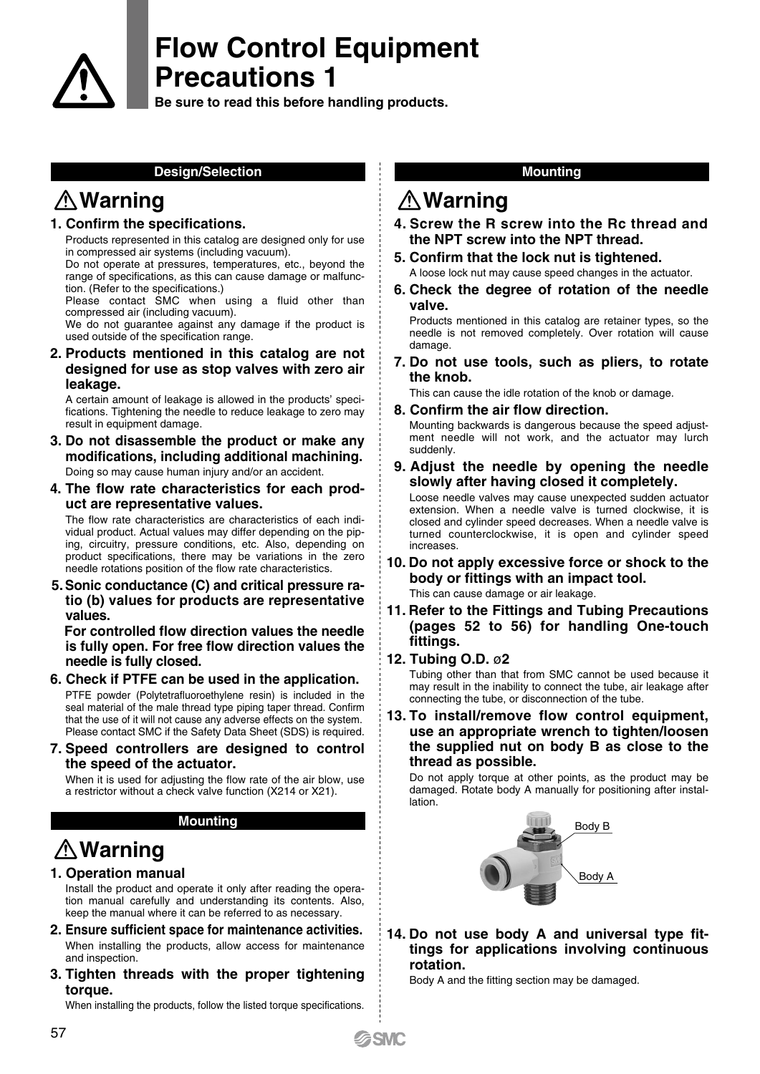

**Be sure to read this before handling products.**

### **Design/Selection**

# **Warning**

### **1. Confirm the specifications.**

Products represented in this catalog are designed only for use in compressed air systems (including vacuum).

Do not operate at pressures, temperatures, etc., beyond the range of specifications, as this can cause damage or malfunction. (Refer to the specifications.)

Please contact SMC when using a fluid other than compressed air (including vacuum).

We do not guarantee against any damage if the product is used outside of the specification range.

**2. Products mentioned in this catalog are not designed for use as stop valves with zero air leakage.** 

A certain amount of leakage is allowed in the products' specifications. Tightening the needle to reduce leakage to zero may result in equipment damage.

- **3. Do not disassemble the product or make any modifications, including additional machining.** Doing so may cause human injury and/or an accident.
- **4. The flow rate characteristics for each product are representative values.**

The flow rate characteristics are characteristics of each individual product. Actual values may differ depending on the piping, circuitry, pressure conditions, etc. Also, depending on product specifications, there may be variations in the zero needle rotations position of the flow rate characteristics.

**5.Sonic conductance (C) and critical pressure ratio (b) values for products are representative values.**

 **For controlled flow direction values the needle is fully open. For free flow direction values the needle is fully closed.**

- **6. Check if PTFE can be used in the application.**  PTFE powder (Polytetrafluoroethylene resin) is included in the seal material of the male thread type piping taper thread. Confirm that the use of it will not cause any adverse effects on the system. Please contact SMC if the Safety Data Sheet (SDS) is required.
- **7. Speed controllers are designed to control the speed of the actuator.**

When it is used for adjusting the flow rate of the air blow, use a restrictor without a check valve function (X214 or X21).

### **Mounting**

# **Warning**

## **1. Operation manual**

Install the product and operate it only after reading the operation manual carefully and understanding its contents. Also, keep the manual where it can be referred to as necessary.

- **2. Ensure sufficient space for maintenance activities.** When installing the products, allow access for maintenance and inspection.
- **3. Tighten threads with the proper tightening torque.**

When installing the products, follow the listed torque specifications.

### **Mounting**

## **Warning**

- **4. Screw the R screw into the Rc thread and the NPT screw into the NPT thread.**
- **5. Confirm that the lock nut is tightened.** A loose lock nut may cause speed changes in the actuator.
- **6. Check the degree of rotation of the needle valve.**

Products mentioned in this catalog are retainer types, so the needle is not removed completely. Over rotation will cause damage.

**7. Do not use tools, such as pliers, to rotate the knob.**

This can cause the idle rotation of the knob or damage.

**8. Confirm the air flow direction.** 

Mounting backwards is dangerous because the speed adjustment needle will not work, and the actuator may lurch suddenly.

**9. Adjust the needle by opening the needle slowly after having closed it completely.**

Loose needle valves may cause unexpected sudden actuator extension. When a needle valve is turned clockwise, it is closed and cylinder speed decreases. When a needle valve is turned counterclockwise, it is open and cylinder speed increases.

- **10. Do not apply excessive force or shock to the body or fittings with an impact tool.** This can cause damage or air leakage.
- **11. Refer to the Fittings and Tubing Precautions (pages 52 to 56) for handling One-touch fittings.**

## **12. Tubing O.D.** ø**2**

Tubing other than that from SMC cannot be used because it may result in the inability to connect the tube, air leakage after connecting the tube, or disconnection of the tube.

**13. To install/remove flow control equipment, use an appropriate wrench to tighten/loosen the supplied nut on body B as close to the thread as possible.**

Do not apply torque at other points, as the product may be damaged. Rotate body A manually for positioning after installation.



**14. Do not use body A and universal type fittings for applications involving continuous rotation.**

Body A and the fitting section may be damaged.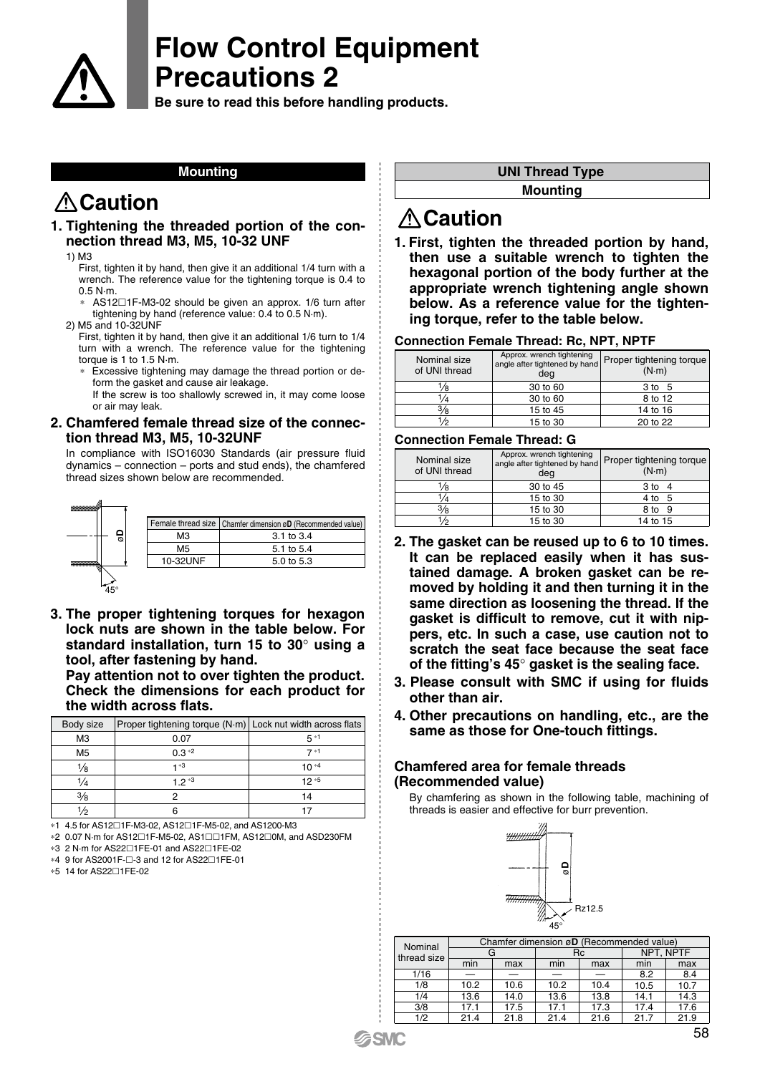

**Be sure to read this before handling products.**

### **Mounting**

# **Caution**

### **1. Tightening the threaded portion of the connection thread M3, M5, 10-32 UNF**

1) M3

First, tighten it by hand, then give it an additional 1/4 turn with a wrench. The reference value for the tightening torque is 0.4 to 0.5 N·m.

- AS12□1F-M3-02 should be given an approx. 1/6 turn after tightening by hand (reference value: 0.4 to 0.5 N·m).
- 2) M5 and 10-32UNF

First, tighten it by hand, then give it an additional 1/6 turn to 1/4 turn with a wrench. The reference value for the tightening torque is 1 to 1.5 N·m.

Excessive tightening may damage the thread portion or deform the gasket and cause air leakage.

If the screw is too shallowly screwed in, it may come loose or air may leak.

### **2. Chamfered female thread size of the connection thread M3, M5, 10-32UNF**

In compliance with ISO16030 Standards (air pressure fluid dynamics – connection – ports and stud ends), the chamfered thread sizes shown below are recommended.



**3. The proper tightening torques for hexagon lock nuts are shown in the table below. For standard installation, turn 15 to 30**° **using a tool, after fastening by hand.**

**Pay attention not to over tighten the product. Check the dimensions for each product for the width across flats.**

| Body size      | Proper tightening torque (N·m)   Lock nut width across flats |           |
|----------------|--------------------------------------------------------------|-----------|
| M <sub>3</sub> | 0.07                                                         | $5*1$     |
| M <sub>5</sub> | $0.3*2$                                                      | $7 * 1$   |
| 1⁄8            | -1 ∗3                                                        | $10^{*4}$ |
| $\frac{1}{4}$  | $1.2*3$                                                      | $12*5$    |
| 3/8            |                                                              | 14        |
|                |                                                              |           |

∗1 4.5 for AS121F-M3-02, AS121F-M5-02, and AS1200-M3

∗2 0.07 N·m for AS121F-M5-02, AS11FM, AS120M, and ASD230FM

- ∗3 2 N·m for AS221FE-01 and AS221FE-02
- \*4 9 for AS2001F-□-3 and 12 for AS22□1FE-01

∗5 14 for AS221FE-02

#### **UNI Thread Type**

**Mounting**

## **Caution**

**1. First, tighten the threaded portion by hand, then use a suitable wrench to tighten the hexagonal portion of the body further at the appropriate wrench tightening angle shown below. As a reference value for the tightening torque, refer to the table below.**

#### **Connection Female Thread: Rc, NPT, NPTF**

| Nominal size<br>of UNI thread | Approx. wrench tightening<br>angle after tightened by hand<br>deg | Proper tightening torque<br>$(N \cdot m)$ |
|-------------------------------|-------------------------------------------------------------------|-------------------------------------------|
| /8                            | 30 to 60                                                          | 3 to 5                                    |
| 1/4                           | 30 to 60                                                          | 8 to 12                                   |
| $\frac{3}{8}$                 | 15 to 45                                                          | 14 to 16                                  |
| 1/2                           | 15 to 30                                                          | 20 to 22                                  |

#### **Connection Female Thread: G**

| Nominal size<br>of UNI thread | Approx. wrench tightening<br>angle after tightened by hand<br>deg | Proper tightening torque<br>$(N \cdot m)$ |
|-------------------------------|-------------------------------------------------------------------|-------------------------------------------|
| /8                            | 30 to 45                                                          | 3 to 4                                    |
|                               | 15 to 30                                                          | 4 to 5                                    |
| $3\frac{1}{8}$                | 15 to 30                                                          | 8 to<br>- 9                               |
| !/ი                           | 15 to 30                                                          | 14 to 15                                  |

- **2. The gasket can be reused up to 6 to 10 times. It can be replaced easily when it has sustained damage. A broken gasket can be removed by holding it and then turning it in the same direction as loosening the thread. If the gasket is difficult to remove, cut it with nippers, etc. In such a case, use caution not to scratch the seat face because the seat face of the fitting's 45**° **gasket is the sealing face.**
- **3. Please consult with SMC if using for fluids other than air.**
- **4. Other precautions on handling, etc., are the same as those for One-touch fittings.**

### **Chamfered area for female threads (Recommended value)**

By chamfering as shown in the following table, machining of threads is easier and effective for burr prevention.



| Nominal     | Chamfer dimension øD (Recommended value) |      |      |      |      |           |
|-------------|------------------------------------------|------|------|------|------|-----------|
| thread size |                                          | G    |      | Rc   |      | NPT. NPTF |
|             | min                                      | max  | min  | max  | min  | max       |
| 1/16        |                                          |      |      |      | 8.2  | 8.4       |
| 1/8         | 10.2                                     | 10.6 | 10.2 | 10.4 | 10.5 | 10.7      |
| 1/4         | 13.6                                     | 14.0 | 13.6 | 13.8 | 14.1 | 14.3      |
| 3/8         | 17.1                                     | 17.5 | 17.1 | 17.3 | 17.4 | 17.6      |
| 1/2         | 21.4                                     | 21.8 | 21.4 | 21.6 | 21.7 | 21.9      |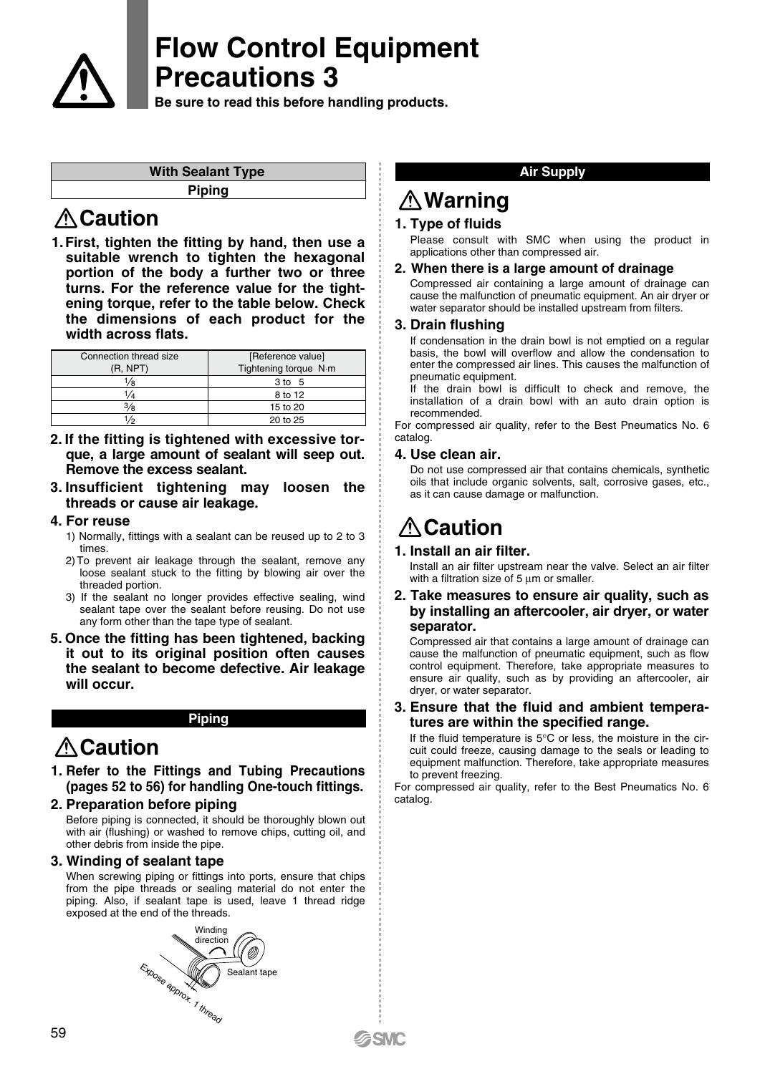

**Be sure to read this before handling products.**

| <b>With Sealant Type</b> |
|--------------------------|
| <b>Piping</b>            |
|                          |

## **Caution**

**1.First, tighten the fitting by hand, then use a suitable wrench to tighten the hexagonal portion of the body a further two or three turns. For the reference value for the tightening torque, refer to the table below. Check the dimensions of each product for the width across flats.**

| Connection thread size<br>(R, NPT) | [Reference value]<br>Tightening torque N·m |
|------------------------------------|--------------------------------------------|
| !∕в                                | 3 to 5                                     |
| 1/4                                | 8 to 12                                    |
| 3⁄8                                | 15 to 20                                   |
| 1/2                                | 20 to 25                                   |

- **2. If the fitting is tightened with excessive torque, a large amount of sealant will seep out. Remove the excess sealant.**
- **3. Insufficient tightening may loosen the threads or cause air leakage.**

### **4. For reuse**

- 1) Normally, fittings with a sealant can be reused up to 2 to 3 times.
- 2) To prevent air leakage through the sealant, remove any loose sealant stuck to the fitting by blowing air over the threaded portion.
- 3) If the sealant no longer provides effective sealing, wind sealant tape over the sealant before reusing. Do not use any form other than the tape type of sealant.
- **5. Once the fitting has been tightened, backing it out to its original position often causes the sealant to become defective. Air leakage will occur.**

## **Piping**

# **Caution**

- **1. Refer to the Fittings and Tubing Precautions (pages 52 to 56) for handling One-touch fittings.**
- **2. Preparation before piping**

Before piping is connected, it should be thoroughly blown out with air (flushing) or washed to remove chips, cutting oil, and other debris from inside the pipe.

## **3. Winding of sealant tape**

When screwing piping or fittings into ports, ensure that chips from the pipe threads or sealing material do not enter the piping. Also, if sealant tape is used, leave 1 thread ridge exposed at the end of the threads.



### **Air Supply**

# **Warning**

## **1. Type of fluids**

Please consult with SMC when using the product in applications other than compressed air.

### **2. When there is a large amount of drainage**

Compressed air containing a large amount of drainage can cause the malfunction of pneumatic equipment. An air dryer or water separator should be installed upstream from filters.

### **3. Drain flushing**

If condensation in the drain bowl is not emptied on a regular basis, the bowl will overflow and allow the condensation to enter the compressed air lines. This causes the malfunction of pneumatic equipment.

If the drain bowl is difficult to check and remove, the installation of a drain bowl with an auto drain option is recommended.

For compressed air quality, refer to the Best Pneumatics No. 6 catalog.

### **4. Use clean air.**

Do not use compressed air that contains chemicals, synthetic oils that include organic solvents, salt, corrosive gases, etc., as it can cause damage or malfunction.

# **Caution**

## **1. Install an air filter.**

Install an air filter upstream near the valve. Select an air filter with a filtration size of 5 um or smaller.

**2. Take measures to ensure air quality, such as by installing an aftercooler, air dryer, or water separator.**

Compressed air that contains a large amount of drainage can cause the malfunction of pneumatic equipment, such as flow control equipment. Therefore, take appropriate measures to ensure air quality, such as by providing an aftercooler, air dryer, or water separator.

### **3. Ensure that the fluid and ambient temperatures are within the specified range.**

If the fluid temperature is  $5^{\circ}$ C or less, the moisture in the circuit could freeze, causing damage to the seals or leading to equipment malfunction. Therefore, take appropriate measures to prevent freezing.

For compressed air quality, refer to the Best Pneumatics No. 6 catalog.